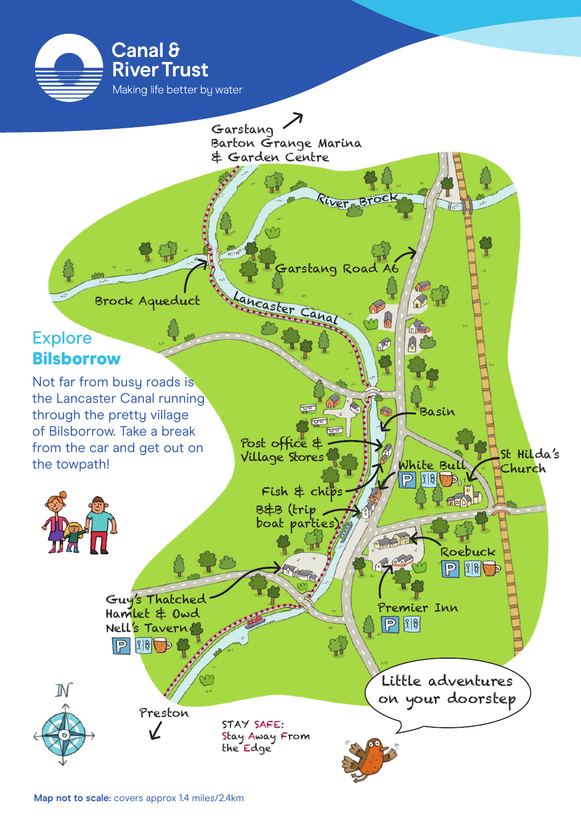

the Lancaster Canal running through the pretty village of Bilsborrow. Take a break from the car and get out on the towpath!



Post office &

एण छिप ਚਰ

Basin